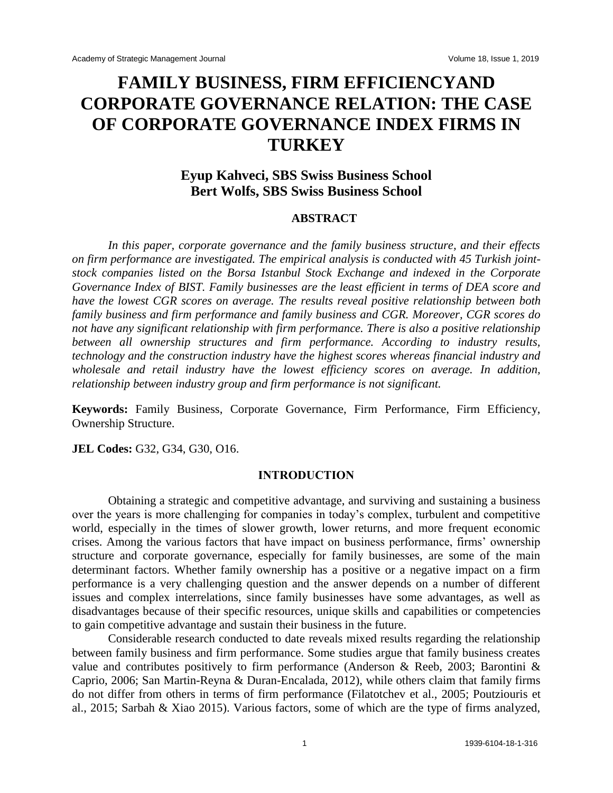# **FAMILY BUSINESS, FIRM EFFICIENCYAND CORPORATE GOVERNANCE RELATION: THE CASE OF CORPORATE GOVERNANCE INDEX FIRMS IN TURKEY**

# **Eyup Kahveci, SBS Swiss Business School Bert Wolfs, SBS Swiss Business School**

#### **ABSTRACT**

*In this paper, corporate governance and the family business structure, and their effects on firm performance are investigated. The empirical analysis is conducted with 45 Turkish jointstock companies listed on the Borsa Istanbul Stock Exchange and indexed in the Corporate Governance Index of BIST. Family businesses are the least efficient in terms of DEA score and have the lowest CGR scores on average. The results reveal positive relationship between both family business and firm performance and family business and CGR. Moreover, CGR scores do not have any significant relationship with firm performance. There is also a positive relationship between all ownership structures and firm performance. According to industry results, technology and the construction industry have the highest scores whereas financial industry and wholesale and retail industry have the lowest efficiency scores on average. In addition, relationship between industry group and firm performance is not significant.*

**Keywords:** Family Business, Corporate Governance, Firm Performance, Firm Efficiency, Ownership Structure.

**JEL Codes:** G32, G34, G30, O16.

# **INTRODUCTION**

Obtaining a strategic and competitive advantage, and surviving and sustaining a business over the years is more challenging for companies in today's complex, turbulent and competitive world, especially in the times of slower growth, lower returns, and more frequent economic crises. Among the various factors that have impact on business performance, firms' ownership structure and corporate governance, especially for family businesses, are some of the main determinant factors. Whether family ownership has a positive or a negative impact on a firm performance is a very challenging question and the answer depends on a number of different issues and complex interrelations, since family businesses have some advantages, as well as disadvantages because of their specific resources, unique skills and capabilities or competencies to gain competitive advantage and sustain their business in the future.

Considerable research conducted to date reveals mixed results regarding the relationship between family business and firm performance. Some studies argue that family business creates value and contributes positively to firm performance (Anderson & Reeb, 2003; Barontini & Caprio, 2006; San Martin-Reyna & Duran-Encalada, 2012), while others claim that family firms do not differ from others in terms of firm performance (Filatotchev et al., 2005; Poutziouris et al., 2015; Sarbah & Xiao 2015). Various factors, some of which are the type of firms analyzed,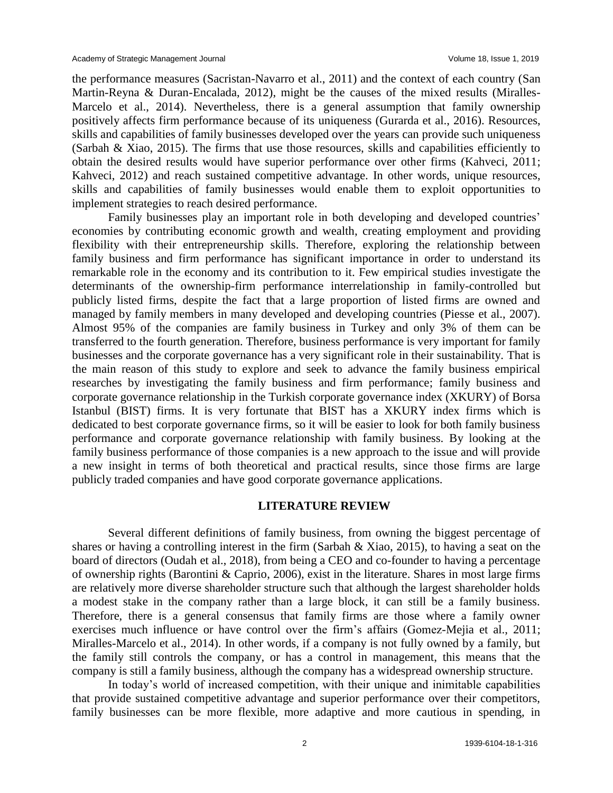the performance measures (Sacristan-Navarro et al., 2011) and the context of each country (San Martin-Reyna & Duran-Encalada, 2012), might be the causes of the mixed results (Miralles-Marcelo et al., 2014). Nevertheless, there is a general assumption that family ownership positively affects firm performance because of its uniqueness (Gurarda et al., 2016). Resources, skills and capabilities of family businesses developed over the years can provide such uniqueness (Sarbah & Xiao, 2015). The firms that use those resources, skills and capabilities efficiently to obtain the desired results would have superior performance over other firms (Kahveci, 2011; Kahveci, 2012) and reach sustained competitive advantage. In other words, unique resources, skills and capabilities of family businesses would enable them to exploit opportunities to implement strategies to reach desired performance.

Family businesses play an important role in both developing and developed countries' economies by contributing economic growth and wealth, creating employment and providing flexibility with their entrepreneurship skills. Therefore, exploring the relationship between family business and firm performance has significant importance in order to understand its remarkable role in the economy and its contribution to it. Few empirical studies investigate the determinants of the ownership-firm performance interrelationship in family-controlled but publicly listed firms, despite the fact that a large proportion of listed firms are owned and managed by family members in many developed and developing countries (Piesse et al., 2007). Almost 95% of the companies are family business in Turkey and only 3% of them can be transferred to the fourth generation. Therefore, business performance is very important for family businesses and the corporate governance has a very significant role in their sustainability. That is the main reason of this study to explore and seek to advance the family business empirical researches by investigating the family business and firm performance; family business and corporate governance relationship in the Turkish corporate governance index (XKURY) of Borsa Istanbul (BIST) firms. It is very fortunate that BIST has a XKURY index firms which is dedicated to best corporate governance firms, so it will be easier to look for both family business performance and corporate governance relationship with family business. By looking at the family business performance of those companies is a new approach to the issue and will provide a new insight in terms of both theoretical and practical results, since those firms are large publicly traded companies and have good corporate governance applications.

#### **LITERATURE REVIEW**

Several different definitions of family business, from owning the biggest percentage of shares or having a controlling interest in the firm (Sarbah & Xiao, 2015), to having a seat on the board of directors (Oudah et al., 2018), from being a CEO and co-founder to having a percentage of ownership rights (Barontini & Caprio, 2006), exist in the literature. Shares in most large firms are relatively more diverse shareholder structure such that although the largest shareholder holds a modest stake in the company rather than a large block, it can still be a family business. Therefore, there is a general consensus that family firms are those where a family owner exercises much influence or have control over the firm's affairs (Gomez-Mejia et al., 2011; Miralles-Marcelo et al., 2014). In other words, if a company is not fully owned by a family, but the family still controls the company, or has a control in management, this means that the company is still a family business, although the company has a widespread ownership structure.

In today's world of increased competition, with their unique and inimitable capabilities that provide sustained competitive advantage and superior performance over their competitors, family businesses can be more flexible, more adaptive and more cautious in spending, in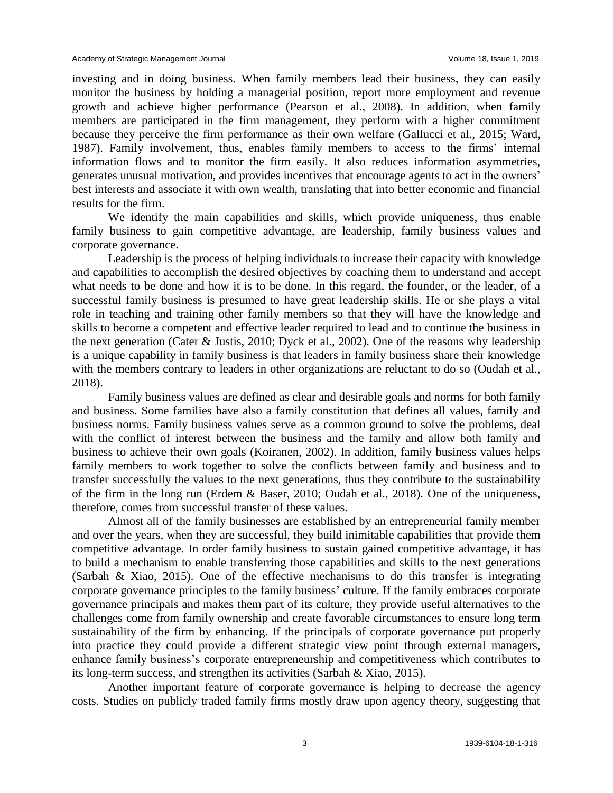investing and in doing business. When family members lead their business, they can easily monitor the business by holding a managerial position, report more employment and revenue growth and achieve higher performance (Pearson et al., 2008). In addition, when family members are participated in the firm management, they perform with a higher commitment because they perceive the firm performance as their own welfare (Gallucci et al., 2015; Ward, 1987). Family involvement, thus, enables family members to access to the firms' internal information flows and to monitor the firm easily. It also reduces information asymmetries, generates unusual motivation, and provides incentives that encourage agents to act in the owners' best interests and associate it with own wealth, translating that into better economic and financial results for the firm.

We identify the main capabilities and skills, which provide uniqueness, thus enable family business to gain competitive advantage, are leadership, family business values and corporate governance.

Leadership is the process of helping individuals to increase their capacity with knowledge and capabilities to accomplish the desired objectives by coaching them to understand and accept what needs to be done and how it is to be done. In this regard, the founder, or the leader, of a successful family business is presumed to have great leadership skills. He or she plays a vital role in teaching and training other family members so that they will have the knowledge and skills to become a competent and effective leader required to lead and to continue the business in the next generation (Cater & Justis, 2010; Dyck et al., 2002). One of the reasons why leadership is a unique capability in family business is that leaders in family business share their knowledge with the members contrary to leaders in other organizations are reluctant to do so (Oudah et al., 2018).

Family business values are defined as clear and desirable goals and norms for both family and business. Some families have also a family constitution that defines all values, family and business norms. Family business values serve as a common ground to solve the problems, deal with the conflict of interest between the business and the family and allow both family and business to achieve their own goals (Koiranen, 2002). In addition, family business values helps family members to work together to solve the conflicts between family and business and to transfer successfully the values to the next generations, thus they contribute to the sustainability of the firm in the long run (Erdem & Baser, 2010; Oudah et al., 2018). One of the uniqueness, therefore, comes from successful transfer of these values.

Almost all of the family businesses are established by an entrepreneurial family member and over the years, when they are successful, they build inimitable capabilities that provide them competitive advantage. In order family business to sustain gained competitive advantage, it has to build a mechanism to enable transferring those capabilities and skills to the next generations (Sarbah & Xiao, 2015). One of the effective mechanisms to do this transfer is integrating corporate governance principles to the family business' culture. If the family embraces corporate governance principals and makes them part of its culture, they provide useful alternatives to the challenges come from family ownership and create favorable circumstances to ensure long term sustainability of the firm by enhancing. If the principals of corporate governance put properly into practice they could provide a different strategic view point through external managers, enhance family business's corporate entrepreneurship and competitiveness which contributes to its long-term success, and strengthen its activities (Sarbah & Xiao, 2015).

Another important feature of corporate governance is helping to decrease the agency costs. Studies on publicly traded family firms mostly draw upon agency theory, suggesting that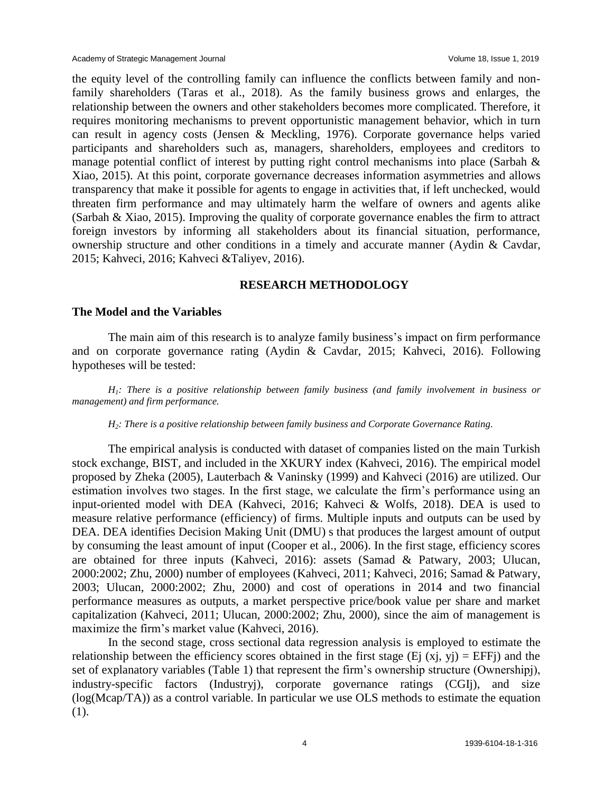the equity level of the controlling family can influence the conflicts between family and nonfamily shareholders (Taras et al., 2018). As the family business grows and enlarges, the relationship between the owners and other stakeholders becomes more complicated. Therefore, it requires monitoring mechanisms to prevent opportunistic management behavior, which in turn can result in agency costs (Jensen & Meckling, 1976). Corporate governance helps varied participants and shareholders such as, managers, shareholders, employees and creditors to manage potential conflict of interest by putting right control mechanisms into place (Sarbah & Xiao, 2015). At this point, corporate governance decreases information asymmetries and allows transparency that make it possible for agents to engage in activities that, if left unchecked, would threaten firm performance and may ultimately harm the welfare of owners and agents alike (Sarbah & Xiao, 2015). Improving the quality of corporate governance enables the firm to attract foreign investors by informing all stakeholders about its financial situation, performance, ownership structure and other conditions in a timely and accurate manner (Aydin & Cavdar, 2015; Kahveci, 2016; Kahveci &Taliyev, 2016).

# **RESEARCH METHODOLOGY**

#### **The Model and the Variables**

The main aim of this research is to analyze family business's impact on firm performance and on corporate governance rating (Aydin & Cavdar, 2015; Kahveci, 2016). Following hypotheses will be tested:

*H1: There is a positive relationship between family business (and family involvement in business or management) and firm performance.* 

#### *H2: There is a positive relationship between family business and Corporate Governance Rating.*

The empirical analysis is conducted with dataset of companies listed on the main Turkish stock exchange, BIST, and included in the XKURY index (Kahveci, 2016). The empirical model proposed by Zheka (2005), Lauterbach & Vaninsky (1999) and Kahveci (2016) are utilized. Our estimation involves two stages. In the first stage, we calculate the firm's performance using an input-oriented model with DEA (Kahveci, 2016; Kahveci & Wolfs, 2018). DEA is used to measure relative performance (efficiency) of firms. Multiple inputs and outputs can be used by DEA. DEA identifies Decision Making Unit (DMU) s that produces the largest amount of output by consuming the least amount of input (Cooper et al., 2006). In the first stage, efficiency scores are obtained for three inputs (Kahveci, 2016): assets (Samad & Patwary, 2003; Ulucan, 2000:2002; Zhu, 2000) number of employees (Kahveci, 2011; Kahveci, 2016; Samad & Patwary, 2003; Ulucan, 2000:2002; Zhu, 2000) and cost of operations in 2014 and two financial performance measures as outputs, a market perspective price/book value per share and market capitalization (Kahveci, 2011; Ulucan, 2000:2002; Zhu, 2000), since the aim of management is maximize the firm's market value (Kahveci, 2016).

In the second stage, cross sectional data regression analysis is employed to estimate the relationship between the efficiency scores obtained in the first stage (Ej  $(x<sub>i</sub>, y<sub>i</sub>)$ ) = EFF<sub>i</sub>) and the set of explanatory variables (Table 1) that represent the firm's ownership structure (Ownershipj), industry-specific factors (Industryj), corporate governance ratings (CGIj), and size (log(Mcap/TA)) as a control variable. In particular we use OLS methods to estimate the equation (1).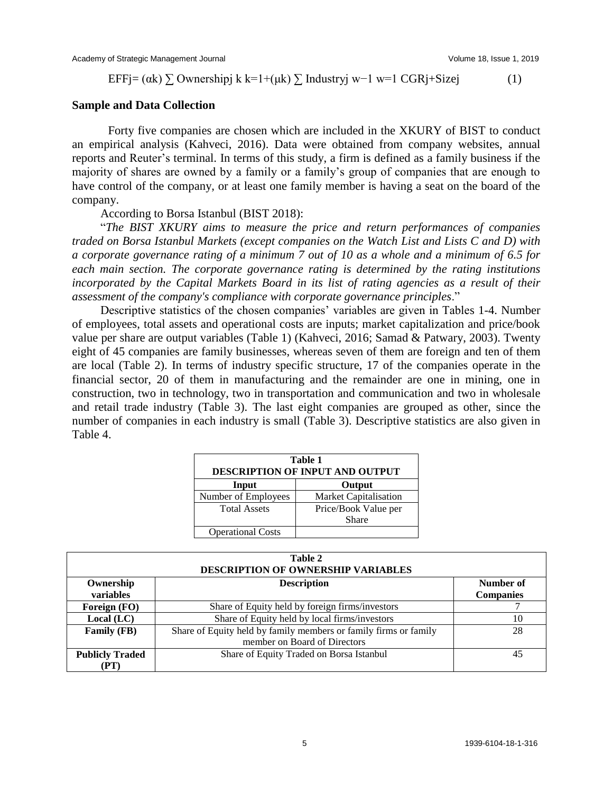EFF $i=(\alpha k)$   $\sum$  Ownershipj k k=1+(μk)  $\sum$  Industryj w−1 w=1 CGRj+Sizej (1)

#### **Sample and Data Collection**

Forty five companies are chosen which are included in the XKURY of BIST to conduct an empirical analysis (Kahveci, 2016). Data were obtained from company websites, annual reports and Reuter's terminal. In terms of this study, a firm is defined as a family business if the majority of shares are owned by a family or a family's group of companies that are enough to have control of the company, or at least one family member is having a seat on the board of the company.

According to Borsa Istanbul (BIST 2018):

"*The BIST XKURY aims to measure the price and return performances of companies traded on Borsa Istanbul Markets (except companies on the Watch List and Lists C and D) with a corporate governance rating of a minimum 7 out of 10 as a whole and a minimum of 6.5 for each main section. The corporate governance rating is determined by the rating institutions incorporated by the Capital Markets Board in its list of rating agencies as a result of their assessment of the company's compliance with corporate governance principles*."

Descriptive statistics of the chosen companies' variables are given in Tables 1-4. Number of employees, total assets and operational costs are inputs; market capitalization and price/book value per share are output variables (Table 1) (Kahveci, 2016; Samad & Patwary, 2003). Twenty eight of 45 companies are family businesses, whereas seven of them are foreign and ten of them are local (Table 2). In terms of industry specific structure, 17 of the companies operate in the financial sector, 20 of them in manufacturing and the remainder are one in mining, one in construction, two in technology, two in transportation and communication and two in wholesale and retail trade industry (Table 3). The last eight companies are grouped as other, since the number of companies in each industry is small (Table 3). Descriptive statistics are also given in Table 4.

| Table 1<br><b>DESCRIPTION OF INPUT AND OUTPUT</b> |                              |  |  |  |  |  |
|---------------------------------------------------|------------------------------|--|--|--|--|--|
| Input                                             | Output                       |  |  |  |  |  |
| Number of Employees                               | <b>Market Capitalisation</b> |  |  |  |  |  |
| <b>Total Assets</b>                               | Price/Book Value per         |  |  |  |  |  |
|                                                   | <b>Share</b>                 |  |  |  |  |  |
| <b>Operational Costs</b>                          |                              |  |  |  |  |  |

| Table 2<br><b>DESCRIPTION OF OWNERSHIP VARIABLES</b> |                                                                                                  |                               |  |  |  |  |  |
|------------------------------------------------------|--------------------------------------------------------------------------------------------------|-------------------------------|--|--|--|--|--|
| Ownership<br>variables                               | <b>Description</b>                                                                               | Number of<br><b>Companies</b> |  |  |  |  |  |
| Foreign (FO)                                         | Share of Equity held by foreign firms/investors                                                  |                               |  |  |  |  |  |
| Local (LC)                                           | Share of Equity held by local firms/investors                                                    | 10                            |  |  |  |  |  |
| Family (FB)                                          | Share of Equity held by family members or family firms or family<br>member on Board of Directors | 28                            |  |  |  |  |  |
| <b>Publicly Traded</b><br>(PT)                       | Share of Equity Traded on Borsa Istanbul                                                         | 45                            |  |  |  |  |  |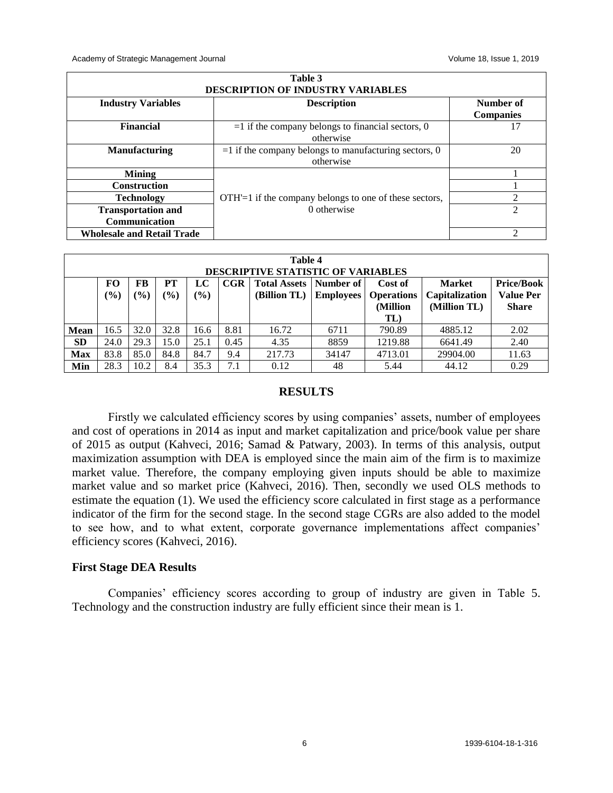Academy of Strategic Management Journal Volume 18, Issue 1, 2019

|                                                   | Table 3<br>DESCRIPTION OF INDUSTRY VARIABLES                          |                               |
|---------------------------------------------------|-----------------------------------------------------------------------|-------------------------------|
| <b>Industry Variables</b>                         | <b>Description</b>                                                    | Number of<br><b>Companies</b> |
| <b>Financial</b>                                  | $=$ 1 if the company belongs to financial sectors, 0<br>otherwise     | 17                            |
| <b>Manufacturing</b>                              | $=$ 1 if the company belongs to manufacturing sectors, 0<br>otherwise | 20                            |
| <b>Mining</b>                                     |                                                                       |                               |
| <b>Construction</b>                               |                                                                       |                               |
| <b>Technology</b>                                 | $\text{OTH'}=1$ if the company belongs to one of these sectors,       | C                             |
| <b>Transportation and</b><br><b>Communication</b> | 0 otherwise                                                           | $\mathfrak{D}$                |
| <b>Wholesale and Retail Trade</b>                 |                                                                       | C                             |

|             | Table 4<br><b>DESCRIPTIVE STATISTIC OF VARIABLES</b> |              |                     |              |      |                                     |                               |                                                 |                                                 |                                                       |  |  |
|-------------|------------------------------------------------------|--------------|---------------------|--------------|------|-------------------------------------|-------------------------------|-------------------------------------------------|-------------------------------------------------|-------------------------------------------------------|--|--|
|             | FO<br>$(\%)$                                         | FB<br>$(\%)$ | PT<br>$\frac{6}{6}$ | LC<br>$(\%)$ | CGR  | <b>Total Assets</b><br>(Billion TL) | Number of<br><b>Employees</b> | Cost of<br><b>Operations</b><br>(Million<br>TL) | <b>Market</b><br>Capitalization<br>(Million TL) | <b>Price/Book</b><br><b>Value Per</b><br><b>Share</b> |  |  |
| <b>Mean</b> | 16.5                                                 | 32.0         | 32.8                | 16.6         | 8.81 | 16.72                               | 6711                          | 790.89                                          | 4885.12                                         | 2.02                                                  |  |  |
| <b>SD</b>   | 24.0                                                 | 29.3         | 15.0                | 25.1         | 0.45 | 4.35                                | 8859                          | 1219.88                                         | 6641.49                                         | 2.40                                                  |  |  |
| <b>Max</b>  | 83.8                                                 | 85.0         | 84.8                | 84.7         | 9.4  | 217.73                              | 34147                         | 4713.01                                         | 29904.00                                        | 11.63                                                 |  |  |
| Min         | 28.3                                                 | 10.2         | 8.4                 | 35.3         | 7.1  | 0.12                                | 48                            | 5.44                                            | 44.12                                           | 0.29                                                  |  |  |

# **RESULTS**

Firstly we calculated efficiency scores by using companies' assets, number of employees and cost of operations in 2014 as input and market capitalization and price/book value per share of 2015 as output (Kahveci, 2016; Samad & Patwary, 2003). In terms of this analysis, output maximization assumption with DEA is employed since the main aim of the firm is to maximize market value. Therefore, the company employing given inputs should be able to maximize market value and so market price (Kahveci, 2016). Then, secondly we used OLS methods to estimate the equation (1). We used the efficiency score calculated in first stage as a performance indicator of the firm for the second stage. In the second stage CGRs are also added to the model to see how, and to what extent, corporate governance implementations affect companies' efficiency scores (Kahveci, 2016).

# **First Stage DEA Results**

Companies' efficiency scores according to group of industry are given in Table 5. Technology and the construction industry are fully efficient since their mean is 1.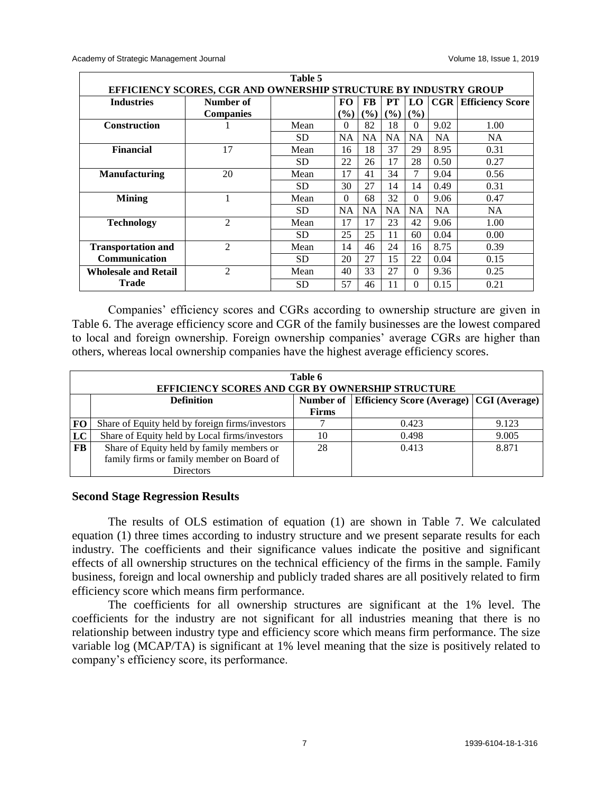| Table 5                     |                                                                  |           |           |           |           |           |           |                         |  |
|-----------------------------|------------------------------------------------------------------|-----------|-----------|-----------|-----------|-----------|-----------|-------------------------|--|
|                             | EFFICIENCY SCORES, CGR AND OWNERSHIP STRUCTURE BY INDUSTRY GROUP |           |           |           |           |           |           |                         |  |
| <b>Industries</b>           | Number of                                                        |           | FO.       | FB        | <b>PT</b> | LO.       | CGR       | <b>Efficiency Score</b> |  |
|                             | <b>Companies</b>                                                 |           | (%)       | (%)       | (%)       | $(\%)$    |           |                         |  |
| <b>Construction</b>         |                                                                  | Mean      | $\Omega$  | 82        | 18        | $\Omega$  | 9.02      | 1.00                    |  |
|                             |                                                                  | SD        | <b>NA</b> | <b>NA</b> | <b>NA</b> | <b>NA</b> | <b>NA</b> | <b>NA</b>               |  |
| <b>Financial</b>            | 17                                                               | Mean      | 16        | 18        | 37        | 29        | 8.95      | 0.31                    |  |
|                             |                                                                  | <b>SD</b> | 22        | 26        | 17        | 28        | 0.50      | 0.27                    |  |
| <b>Manufacturing</b>        | 20                                                               | Mean      | 17        | 41        | 34        | 7         | 9.04      | 0.56                    |  |
|                             |                                                                  | SD.       | 30        | 27        | 14        | 14        | 0.49      | 0.31                    |  |
| <b>Mining</b>               | 1                                                                | Mean      | $\Omega$  | 68        | 32        | $\Omega$  | 9.06      | 0.47                    |  |
|                             |                                                                  | SD.       | <b>NA</b> | <b>NA</b> | <b>NA</b> | <b>NA</b> | <b>NA</b> | <b>NA</b>               |  |
| <b>Technology</b>           | $\overline{2}$                                                   | Mean      | 17        | 17        | 23        | 42        | 9.06      | 1.00                    |  |
|                             |                                                                  | SD        | 25        | 25        | 11        | 60        | 0.04      | 0.00                    |  |
| <b>Transportation and</b>   | $\overline{c}$                                                   | Mean      | 14        | 46        | 24        | 16        | 8.75      | 0.39                    |  |
| <b>Communication</b>        |                                                                  | SD.       | 20        | 27        | 15        | 22        | 0.04      | 0.15                    |  |
| <b>Wholesale and Retail</b> | 2                                                                | Mean      | 40        | 33        | 27        | $\Omega$  | 9.36      | 0.25                    |  |
| <b>Trade</b>                |                                                                  | <b>SD</b> | 57        | 46        | 11        | $\Omega$  | 0.15      | 0.21                    |  |

Companies' efficiency scores and CGRs according to ownership structure are given in Table 6. The average efficiency score and CGR of the family businesses are the lowest compared to local and foreign ownership. Foreign ownership companies' average CGRs are higher than others, whereas local ownership companies have the highest average efficiency scores.

|           | Table 6<br>EFFICIENCY SCORES AND CGR BY OWNERSHIP STRUCTURE |              |                                                   |       |  |  |  |  |  |  |
|-----------|-------------------------------------------------------------|--------------|---------------------------------------------------|-------|--|--|--|--|--|--|
|           | <b>Definition</b>                                           | Number of    | <b>Efficiency Score (Average)   CGI (Average)</b> |       |  |  |  |  |  |  |
|           |                                                             | <b>Firms</b> |                                                   |       |  |  |  |  |  |  |
| <b>FO</b> | Share of Equity held by foreign firms/investors             |              | 0.423                                             | 9.123 |  |  |  |  |  |  |
| LC        | Share of Equity held by Local firms/investors               | 10           | 0.498                                             | 9.005 |  |  |  |  |  |  |
| FB        | Share of Equity held by family members or                   | 28           | 0.413                                             | 8.871 |  |  |  |  |  |  |
|           | family firms or family member on Board of                   |              |                                                   |       |  |  |  |  |  |  |
|           | <b>Directors</b>                                            |              |                                                   |       |  |  |  |  |  |  |

#### **Second Stage Regression Results**

The results of OLS estimation of equation (1) are shown in Table 7. We calculated equation (1) three times according to industry structure and we present separate results for each industry. The coefficients and their significance values indicate the positive and significant effects of all ownership structures on the technical efficiency of the firms in the sample. Family business, foreign and local ownership and publicly traded shares are all positively related to firm efficiency score which means firm performance.

The coefficients for all ownership structures are significant at the 1% level. The coefficients for the industry are not significant for all industries meaning that there is no relationship between industry type and efficiency score which means firm performance. The size variable log (MCAP/TA) is significant at 1% level meaning that the size is positively related to company's efficiency score, its performance.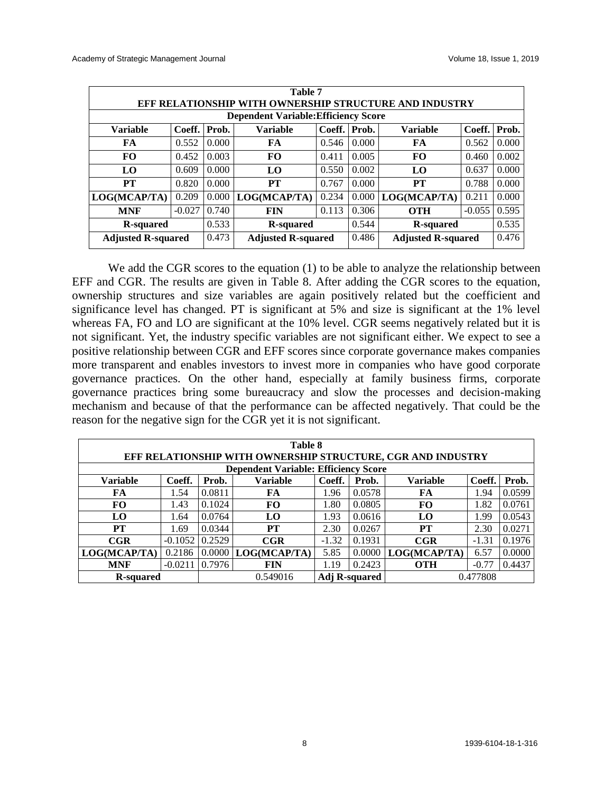| Table 7<br><b>EFF RELATIONSHIP WITH OWNERSHIP STRUCTURE AND INDUSTRY</b>                              |                                             |       |                           |       |       |                           |          |       |  |  |  |
|-------------------------------------------------------------------------------------------------------|---------------------------------------------|-------|---------------------------|-------|-------|---------------------------|----------|-------|--|--|--|
|                                                                                                       | <b>Dependent Variable: Efficiency Score</b> |       |                           |       |       |                           |          |       |  |  |  |
| Coeff.<br>Coeff.<br>Coeff.<br><b>Variable</b><br>Prob.<br><b>Variable</b><br>Prob.<br><b>Variable</b> |                                             |       |                           |       |       |                           |          | Prob. |  |  |  |
| FA                                                                                                    | 0.552                                       | 0.000 | FA                        | 0.546 | 0.000 | FA                        | 0.562    | 0.000 |  |  |  |
| <b>FO</b>                                                                                             | 0.452                                       | 0.003 | F <sub>O</sub>            | 0.411 | 0.005 | FO                        | 0.460    | 0.002 |  |  |  |
| LO                                                                                                    | 0.609                                       | 0.000 | LO                        | 0.550 | 0.002 | LO.                       | 0.637    | 0.000 |  |  |  |
| PТ                                                                                                    | 0.820                                       | 0.000 | PT                        | 0.767 | 0.000 | PТ                        | 0.788    | 0.000 |  |  |  |
| LOG(MCAP/TA)                                                                                          | 0.209                                       | 0.000 | LOG(MCAP/TA)              | 0.234 | 0.000 | LOG(MCAP/TA)              | 0.211    | 0.000 |  |  |  |
| <b>MNF</b>                                                                                            | $-0.027$                                    | 0.740 | <b>FIN</b>                | 0.113 | 0.306 | <b>OTH</b>                | $-0.055$ | 0.595 |  |  |  |
| R-squared                                                                                             |                                             | 0.533 | <b>R-squared</b>          |       | 0.544 | <b>R</b> -squared         |          | 0.535 |  |  |  |
| <b>Adjusted R-squared</b>                                                                             |                                             | 0.473 | <b>Adjusted R-squared</b> |       | 0.486 | <b>Adjusted R-squared</b> |          | 0.476 |  |  |  |

We add the CGR scores to the equation (1) to be able to analyze the relationship between EFF and CGR. The results are given in Table 8. After adding the CGR scores to the equation, ownership structures and size variables are again positively related but the coefficient and significance level has changed. PT is significant at 5% and size is significant at the 1% level whereas FA, FO and LO are significant at the 10% level. CGR seems negatively related but it is not significant. Yet, the industry specific variables are not significant either. We expect to see a positive relationship between CGR and EFF scores since corporate governance makes companies more transparent and enables investors to invest more in companies who have good corporate governance practices. On the other hand, especially at family business firms, corporate governance practices bring some bureaucracy and slow the processes and decision-making mechanism and because of that the performance can be affected negatively. That could be the reason for the negative sign for the CGR yet it is not significant.

| Table 8<br>EFF RELATIONSHIP WITH OWNERSHIP STRUCTURE, CGR AND INDUSTRY |                                                                                             |        |                |         |                                  |              |         |        |  |  |
|------------------------------------------------------------------------|---------------------------------------------------------------------------------------------|--------|----------------|---------|----------------------------------|--------------|---------|--------|--|--|
| <b>Dependent Variable: Efficiency Score</b>                            |                                                                                             |        |                |         |                                  |              |         |        |  |  |
| <b>Variable</b>                                                        | <b>Variable</b><br>Coeff.<br>Coeff.<br>Coeff.<br>Prob.<br><b>Variable</b><br>Prob.<br>Prob. |        |                |         |                                  |              |         |        |  |  |
| FA                                                                     | 1.54                                                                                        | 0.0811 | FA             | 1.96    | 0.0578                           | FA           | 1.94    | 0.0599 |  |  |
| FO                                                                     | 1.43                                                                                        | 0.1024 | <b>FO</b>      | 1.80    | 0.0805                           | <b>FO</b>    | 1.82    | 0.0761 |  |  |
| LO                                                                     | 1.64                                                                                        | 0.0764 | L <sub>0</sub> | 1.93    | 0.0616                           | LO.          | 1.99    | 0.0543 |  |  |
| PT                                                                     | 1.69                                                                                        | 0.0344 | PТ             | 2.30    | 0.0267                           | PT           | 2.30    | 0.0271 |  |  |
| CGR                                                                    | $-0.1052$                                                                                   | 0.2529 | CGR            | $-1.32$ | 0.1931                           | CGR          | $-1.31$ | 0.1976 |  |  |
| LOG(MCAP/TA)                                                           | 0.2186                                                                                      | 0.0000 | LOG(MCAP/TA)   | 5.85    | 0.0000                           | LOG(MCAP/TA) | 6.57    | 0.0000 |  |  |
| <b>MNF</b>                                                             | $-0.0211$                                                                                   | 0.7976 | <b>FIN</b>     | 1.19    | 0.2423                           | <b>OTH</b>   | $-0.77$ | 0.4437 |  |  |
| <b>R-squared</b>                                                       |                                                                                             |        | 0.549016       |         | <b>Adj R-squared</b><br>0.477808 |              |         |        |  |  |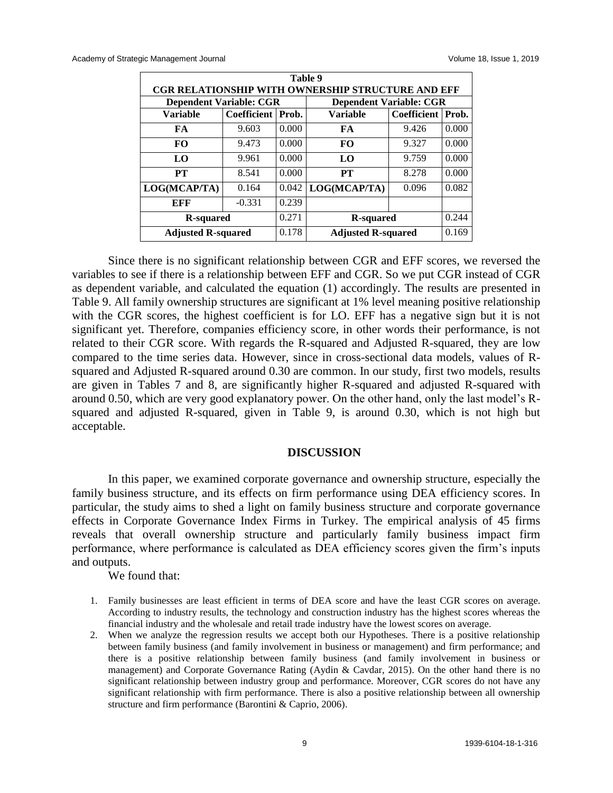| Table 9                                                  |                                                               |                                |                           |       |       |  |  |  |  |  |  |
|----------------------------------------------------------|---------------------------------------------------------------|--------------------------------|---------------------------|-------|-------|--|--|--|--|--|--|
| <b>CGR RELATIONSHIP WITH OWNERSHIP STRUCTURE AND EFF</b> |                                                               |                                |                           |       |       |  |  |  |  |  |  |
| <b>Dependent Variable: CGR</b>                           |                                                               | <b>Dependent Variable: CGR</b> |                           |       |       |  |  |  |  |  |  |
| <b>Variable</b>                                          | Coefficient   Prob.<br>Coefficient   Prob.<br><b>Variable</b> |                                |                           |       |       |  |  |  |  |  |  |
| FA                                                       | 9.603                                                         | 0.000                          | FA                        | 9.426 | 0.000 |  |  |  |  |  |  |
| FO.                                                      | 9.473                                                         | 0.000                          | FO                        | 9.327 | 0.000 |  |  |  |  |  |  |
| LO                                                       | 9.961                                                         | 0.000                          | LO                        | 9.759 | 0.000 |  |  |  |  |  |  |
| PT                                                       | 8.541                                                         | 0.000                          | PT                        | 8.278 | 0.000 |  |  |  |  |  |  |
| LOG(MCAP/TA)                                             | 0.164                                                         | 0.042                          | LOG(MCAP/TA)              | 0.096 | 0.082 |  |  |  |  |  |  |
| EFF                                                      | $-0.331$                                                      | 0.239                          |                           |       |       |  |  |  |  |  |  |
| <b>R</b> -squared                                        |                                                               | 0.271                          | R-squared                 |       | 0.244 |  |  |  |  |  |  |
| <b>Adjusted R-squared</b>                                |                                                               | 0.178                          | <b>Adjusted R-squared</b> |       | 0.169 |  |  |  |  |  |  |

Since there is no significant relationship between CGR and EFF scores, we reversed the variables to see if there is a relationship between EFF and CGR. So we put CGR instead of CGR as dependent variable, and calculated the equation (1) accordingly. The results are presented in Table 9. All family ownership structures are significant at 1% level meaning positive relationship with the CGR scores, the highest coefficient is for LO. EFF has a negative sign but it is not significant yet. Therefore, companies efficiency score, in other words their performance, is not related to their CGR score. With regards the R-squared and Adjusted R-squared, they are low compared to the time series data. However, since in cross-sectional data models, values of Rsquared and Adjusted R-squared around 0.30 are common. In our study, first two models, results are given in Tables 7 and 8, are significantly higher R-squared and adjusted R-squared with around 0.50, which are very good explanatory power. On the other hand, only the last model's Rsquared and adjusted R-squared, given in Table 9, is around 0.30, which is not high but acceptable.

#### **DISCUSSION**

In this paper, we examined corporate governance and ownership structure, especially the family business structure, and its effects on firm performance using DEA efficiency scores. In particular, the study aims to shed a light on family business structure and corporate governance effects in Corporate Governance Index Firms in Turkey. The empirical analysis of 45 firms reveals that overall ownership structure and particularly family business impact firm performance, where performance is calculated as DEA efficiency scores given the firm's inputs and outputs.

We found that:

- 1. Family businesses are least efficient in terms of DEA score and have the least CGR scores on average. According to industry results, the technology and construction industry has the highest scores whereas the financial industry and the wholesale and retail trade industry have the lowest scores on average.
- 2. When we analyze the regression results we accept both our Hypotheses. There is a positive relationship between family business (and family involvement in business or management) and firm performance; and there is a positive relationship between family business (and family involvement in business or management) and Corporate Governance Rating (Aydin & Cavdar, 2015). On the other hand there is no significant relationship between industry group and performance. Moreover, CGR scores do not have any significant relationship with firm performance. There is also a positive relationship between all ownership structure and firm performance (Barontini & Caprio, 2006).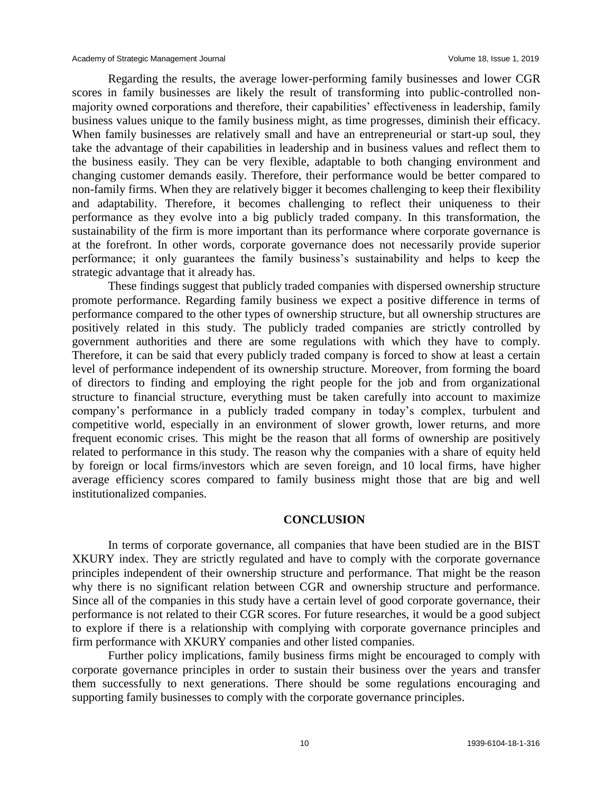Regarding the results, the average lower-performing family businesses and lower CGR scores in family businesses are likely the result of transforming into public-controlled nonmajority owned corporations and therefore, their capabilities' effectiveness in leadership, family business values unique to the family business might, as time progresses, diminish their efficacy. When family businesses are relatively small and have an entrepreneurial or start-up soul, they take the advantage of their capabilities in leadership and in business values and reflect them to the business easily. They can be very flexible, adaptable to both changing environment and changing customer demands easily. Therefore, their performance would be better compared to non-family firms. When they are relatively bigger it becomes challenging to keep their flexibility and adaptability. Therefore, it becomes challenging to reflect their uniqueness to their performance as they evolve into a big publicly traded company. In this transformation, the sustainability of the firm is more important than its performance where corporate governance is at the forefront. In other words, corporate governance does not necessarily provide superior performance; it only guarantees the family business's sustainability and helps to keep the strategic advantage that it already has.

These findings suggest that publicly traded companies with dispersed ownership structure promote performance. Regarding family business we expect a positive difference in terms of performance compared to the other types of ownership structure, but all ownership structures are positively related in this study. The publicly traded companies are strictly controlled by government authorities and there are some regulations with which they have to comply. Therefore, it can be said that every publicly traded company is forced to show at least a certain level of performance independent of its ownership structure. Moreover, from forming the board of directors to finding and employing the right people for the job and from organizational structure to financial structure, everything must be taken carefully into account to maximize company's performance in a publicly traded company in today's complex, turbulent and competitive world, especially in an environment of slower growth, lower returns, and more frequent economic crises. This might be the reason that all forms of ownership are positively related to performance in this study. The reason why the companies with a share of equity held by foreign or local firms/investors which are seven foreign, and 10 local firms, have higher average efficiency scores compared to family business might those that are big and well institutionalized companies.

#### **CONCLUSION**

In terms of corporate governance, all companies that have been studied are in the BIST XKURY index. They are strictly regulated and have to comply with the corporate governance principles independent of their ownership structure and performance. That might be the reason why there is no significant relation between CGR and ownership structure and performance. Since all of the companies in this study have a certain level of good corporate governance, their performance is not related to their CGR scores. For future researches, it would be a good subject to explore if there is a relationship with complying with corporate governance principles and firm performance with XKURY companies and other listed companies.

Further policy implications, family business firms might be encouraged to comply with corporate governance principles in order to sustain their business over the years and transfer them successfully to next generations. There should be some regulations encouraging and supporting family businesses to comply with the corporate governance principles.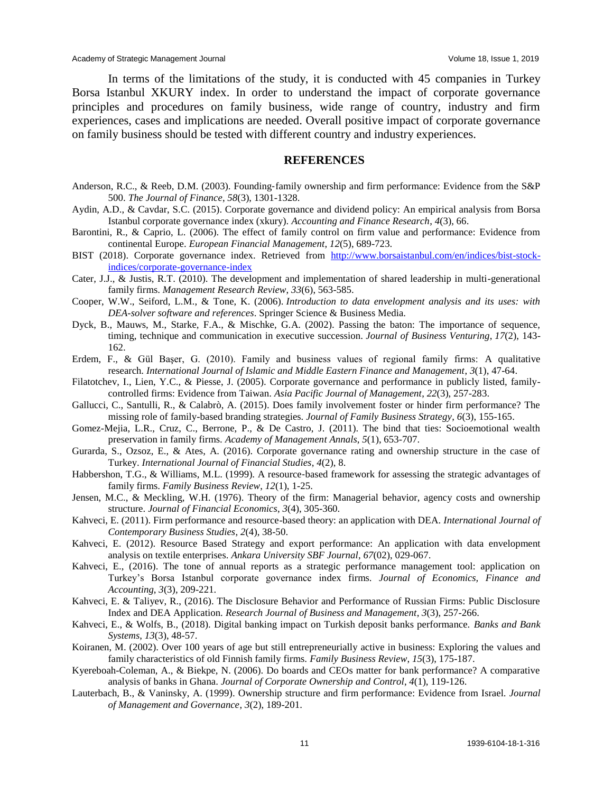Academy of Strategic Management Journal values of the Care of the Volume 18, Issue 1, 2019

In terms of the limitations of the study, it is conducted with 45 companies in Turkey Borsa Istanbul XKURY index. In order to understand the impact of corporate governance principles and procedures on family business, wide range of country, industry and firm experiences, cases and implications are needed. Overall positive impact of corporate governance on family business should be tested with different country and industry experiences.

#### **REFERENCES**

- Anderson, R.C., & Reeb, D.M. (2003). Founding-family ownership and firm performance: Evidence from the S&P 500. *The Journal of Finance*, *58*(3), 1301-1328.
- Aydin, A.D., & Cavdar, S.C. (2015). Corporate governance and dividend policy: An empirical analysis from Borsa Istanbul corporate governance index (xkury). *Accounting and Finance Research*, *4*(3), 66.
- Barontini, R., & Caprio, L. (2006). The effect of family control on firm value and performance: Evidence from continental Europe. *European Financial Management*, *12*(5), 689-723.
- BIST (2018). Corporate governance index. Retrieved from [http://www.borsaistanbul.com/en/indices/bist-stock](http://www.borsaistanbul.com/en/indices/bist-stock-indices/corporate-governance-index)[indices/corporate-governance-index](http://www.borsaistanbul.com/en/indices/bist-stock-indices/corporate-governance-index)
- Cater, J.J., & Justis, R.T. (2010). The development and implementation of shared leadership in multi-generational family firms. *Management Research Review*, *33*(6), 563-585.
- Cooper, W.W., Seiford, L.M., & Tone, K. (2006). *Introduction to data envelopment analysis and its uses: with DEA-solver software and references*. Springer Science & Business Media.
- Dyck, B., Mauws, M., Starke, F.A., & Mischke, G.A. (2002). Passing the baton: The importance of sequence, timing, technique and communication in executive succession. *Journal of Business Venturing*, *17*(2), 143- 162.
- Erdem, F., & Gül Başer, G. (2010). Family and business values of regional family firms: A qualitative research. *International Journal of Islamic and Middle Eastern Finance and Management*, *3*(1), 47-64.
- Filatotchev, I., Lien, Y.C., & Piesse, J. (2005). Corporate governance and performance in publicly listed, familycontrolled firms: Evidence from Taiwan. *Asia Pacific Journal of Management*, *22*(3), 257-283.
- Gallucci, C., Santulli, R., & Calabrò, A. (2015). Does family involvement foster or hinder firm performance? The missing role of family-based branding strategies. *Journal of Family Business Strategy*, *6*(3), 155-165.
- Gomez-Mejia, L.R., Cruz, C., Berrone, P., & De Castro, J. (2011). The bind that ties: Socioemotional wealth preservation in family firms. *Academy of Management Annals*, *5*(1), 653-707.
- Gurarda, S., Ozsoz, E., & Ates, A. (2016). Corporate governance rating and ownership structure in the case of Turkey. *International Journal of Financial Studies*, *4*(2), 8.
- Habbershon, T.G., & Williams, M.L. (1999). A resource-based framework for assessing the strategic advantages of family firms. *Family Business Review*, *12*(1), 1-25.
- Jensen, M.C., & Meckling, W.H. (1976). Theory of the firm: Managerial behavior, agency costs and ownership structure. *Journal of Financial Economics*, *3*(4), 305-360.
- Kahveci, E. (2011). Firm performance and resource-based theory: an application with DEA. *International Journal of Contemporary Business Studies*, *2*(4), 38-50.
- Kahveci, E. (2012). Resource Based Strategy and export performance: An application with data envelopment analysis on textile enterprises. *Ankara University SBF Journal*, *67*(02), 029-067.
- Kahveci, E., (2016). The tone of annual reports as a strategic performance management tool: application on Turkey's Borsa Istanbul corporate governance index firms. *Journal of Economics, Finance and Accounting*, *3*(3), 209-221.
- Kahveci, E. & Taliyev, R., (2016). The Disclosure Behavior and Performance of Russian Firms: Public Disclosure Index and DEA Application. *Research Journal of Business and Management*, *3*(3), 257-266.
- Kahveci, E., & Wolfs, B., (2018). Digital banking impact on Turkish deposit banks performance. *Banks and Bank Systems*, *13*(3), 48-57.
- Koiranen, M. (2002). Over 100 years of age but still entrepreneurially active in business: Exploring the values and family characteristics of old Finnish family firms. *Family Business Review*, *15*(3), 175-187.
- Kyereboah-Coleman, A., & Biekpe, N. (2006). Do boards and CEOs matter for bank performance? A comparative analysis of banks in Ghana. *Journal of Corporate Ownership and Control*, *4*(1), 119-126.
- Lauterbach, B., & Vaninsky, A. (1999). Ownership structure and firm performance: Evidence from Israel. *Journal of Management and Governance*, *3*(2), 189-201.